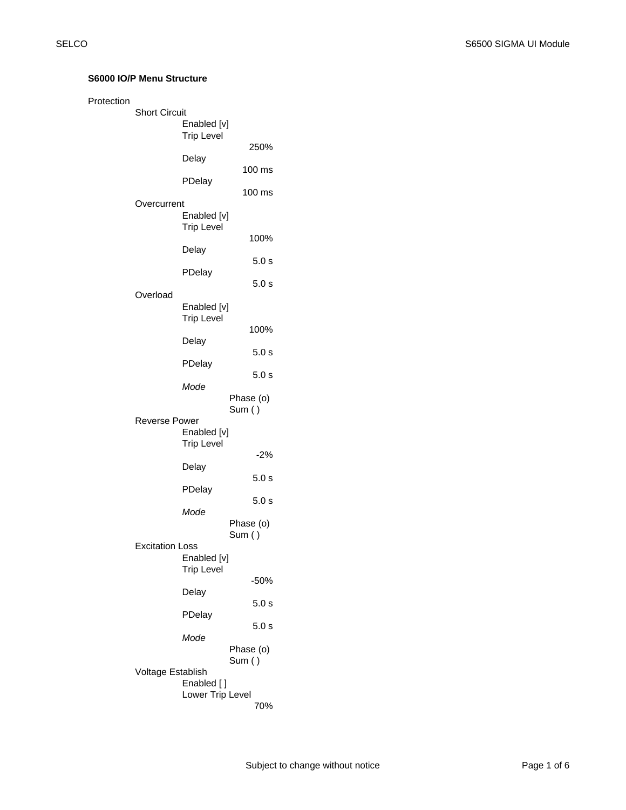## **S6000 IO/P Menu Structure**

| Protection |                        |                                  |                     |
|------------|------------------------|----------------------------------|---------------------|
|            | <b>Short Circuit</b>   | Enabled [v]<br><b>Trip Level</b> |                     |
|            |                        | Delay                            | 250%                |
|            |                        |                                  | 100 ms              |
|            |                        | PDelay                           | 100 ms              |
|            | Overcurrent            | Enabled [v]<br><b>Trip Level</b> |                     |
|            |                        | Delay                            | 100%                |
|            |                        | PDelay                           | 5.0 s               |
|            |                        |                                  | 5.0 s               |
|            | Overload               | Enabled [v]<br><b>Trip Level</b> |                     |
|            |                        | Delay                            | 100%                |
|            |                        | PDelay                           | 5.0s                |
|            |                        |                                  | 5.0 s               |
|            |                        | Mode                             | Phase (o)<br>Sum () |
|            | Reverse Power          | Enabled [v]<br><b>Trip Level</b> |                     |
|            |                        | Delay                            | $-2\%$              |
|            |                        |                                  | 5.0 s               |
|            |                        | PDelay                           | 5.0 s               |
|            |                        | Mode                             | Phase (o)           |
|            | <b>Excitation Loss</b> | Enabled [v]<br><b>Trip Level</b> | Sum ()              |
|            |                        |                                  | $-50%$              |
|            |                        | Delay<br>PDelay                  | 5.0 s               |
|            |                        |                                  | 5.0 s               |
|            |                        | Mode                             | Phase (o)           |
|            | Voltage Establish      | Enabled []                       | Sum ()              |
|            |                        | Lower Trip Level                 | 70%                 |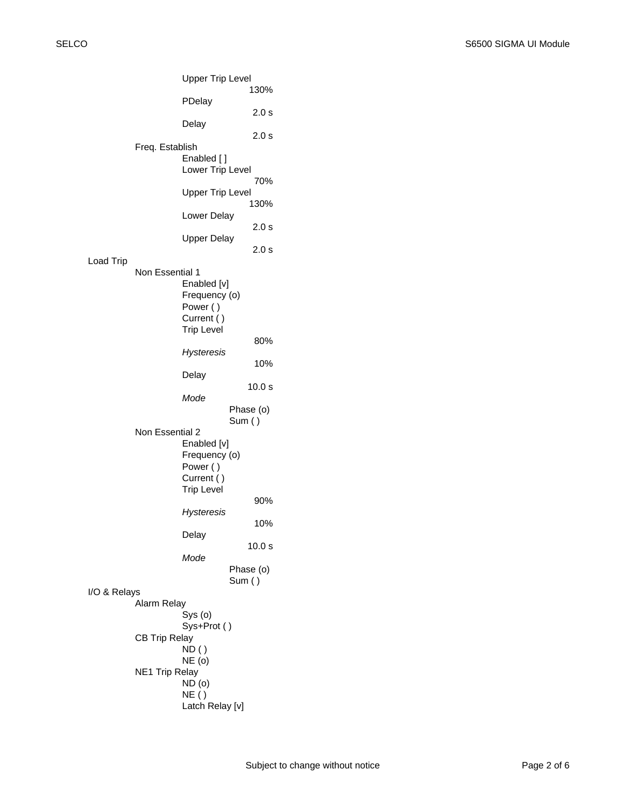Upper Trip Level 130% PDelay 2.0 s Delay 2.0 s Freq. Establish Enabled [ ] Lower Trip Level 70% Upper Trip Level 130% Lower Delay 2.0 s Upper Delay 2.0 s Load Trip Non Essential 1 Enabled [v] Frequency (o) Power ( ) Current ( ) Trip Level 80% *Hysteresis* 10% Delay 10.0 s *Mode* Phase (o) Sum ( ) Non Essential 2 Enabled [v] Frequency (o) Power ( ) Current ( ) Trip Level 90% *Hysteresis* 10% Delay 10.0 s *Mode* Phase (o) Sum ( ) I/O & Relays Alarm Relay Sys (o) Sys+Prot ( ) CB Trip Relay  $ND()$ NE (o) NE1 Trip Relay ND (o) NE ( ) Latch Relay [v]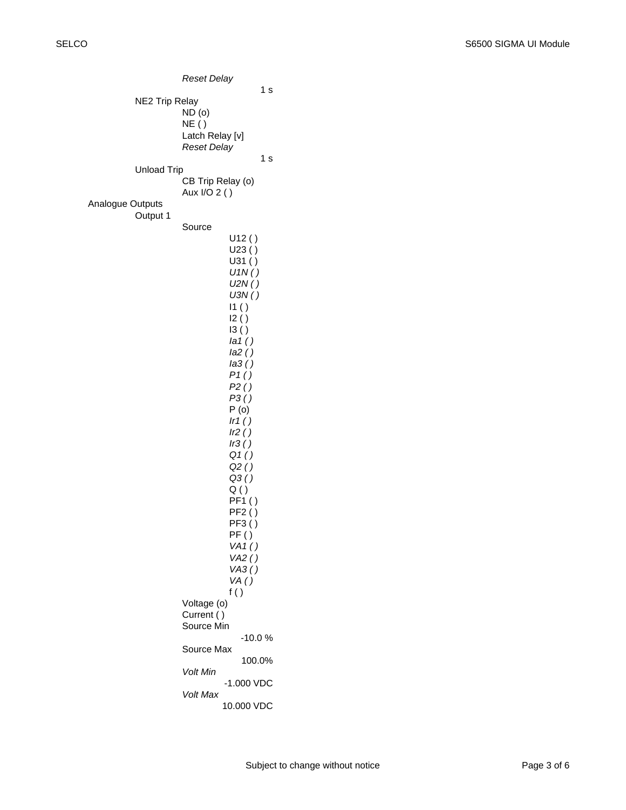*Reset Delay* 1 s NE2 Trip Relay ND (o) NE ( ) Latch Relay [v] *Reset Delay* 1 s Unload Trip CB Trip Relay (o) Aux I/O 2 ( ) Analogue Outputs Output 1 Source U12 ( ) U23 ( ) U31 ( ) *U1N ( ) U2N ( ) U3N ( )*   $11()$  $12()$ I3 ( ) *Ia1 ( ) Ia2 ( ) Ia3 ( ) P1 ( ) P2 ( ) P3 ( )* P (o) *Ir1 ( ) Ir2 ( ) Ir3 ( ) Q1 ( ) Q2 ( ) Q3 ( )*  $Q()$ PF1 ( )  $PF2()$ PF3 ( ) PF ( ) *VA1 ( ) VA2 ( ) VA3 ( ) VA ( )* f ( ) Voltage (o) Current ( ) Source Min -10.0 % Source Max 100.0% *Volt Min* -1.000 VDC *Volt Max* 10.000 VDC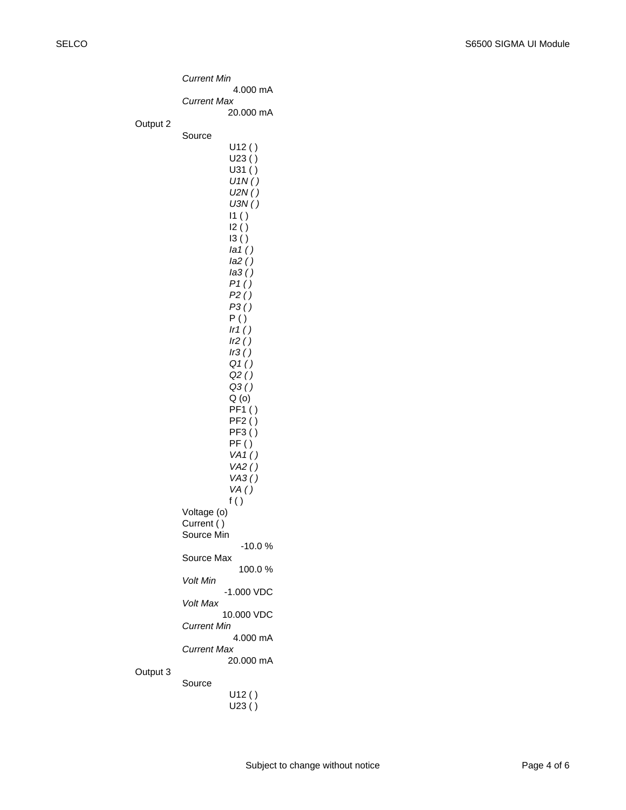|                    | Current Min                                                                       |  |  |
|--------------------|-----------------------------------------------------------------------------------|--|--|
|                    | 4.000 mA                                                                          |  |  |
|                    | Current Max<br>20.000 mA                                                          |  |  |
| Output 2           |                                                                                   |  |  |
|                    | Source                                                                            |  |  |
|                    | U12()                                                                             |  |  |
|                    | U23()                                                                             |  |  |
|                    | U31()<br>U1N()                                                                    |  |  |
|                    | U2N()                                                                             |  |  |
|                    | U3N()                                                                             |  |  |
|                    | I1 ( )<br>12()                                                                    |  |  |
|                    | 13()                                                                              |  |  |
|                    | la(1)                                                                             |  |  |
|                    | Ia2()                                                                             |  |  |
|                    | la3 ( )<br>P1()<br>P2()<br>P3()<br>P()<br>Ir1()<br>Ir2()<br>Ir3()<br>Q1()<br>Q2() |  |  |
|                    |                                                                                   |  |  |
|                    |                                                                                   |  |  |
|                    |                                                                                   |  |  |
|                    |                                                                                   |  |  |
|                    |                                                                                   |  |  |
|                    |                                                                                   |  |  |
|                    | Q3()<br>Q(0)                                                                      |  |  |
|                    |                                                                                   |  |  |
|                    | PF1()<br>PF2()                                                                    |  |  |
|                    | PF3()                                                                             |  |  |
|                    | PF ( )                                                                            |  |  |
|                    | VA1()<br>VA2()                                                                    |  |  |
|                    | VAS()                                                                             |  |  |
|                    | VA()                                                                              |  |  |
| f()<br>Voltage (o) |                                                                                   |  |  |
|                    | Current ()                                                                        |  |  |
|                    | Source Min                                                                        |  |  |
|                    | -10.0 %<br>Source Max<br>100.0%                                                   |  |  |
|                    | Volt Min<br>$-1.000$ VDC                                                          |  |  |
|                    | Volt Max<br>10.000 VDC                                                            |  |  |
|                    | Current Min<br>4.000 mA                                                           |  |  |
|                    | Current Max                                                                       |  |  |
| Output 3           | 20.000 mA                                                                         |  |  |
|                    | Source                                                                            |  |  |
|                    | U12()                                                                             |  |  |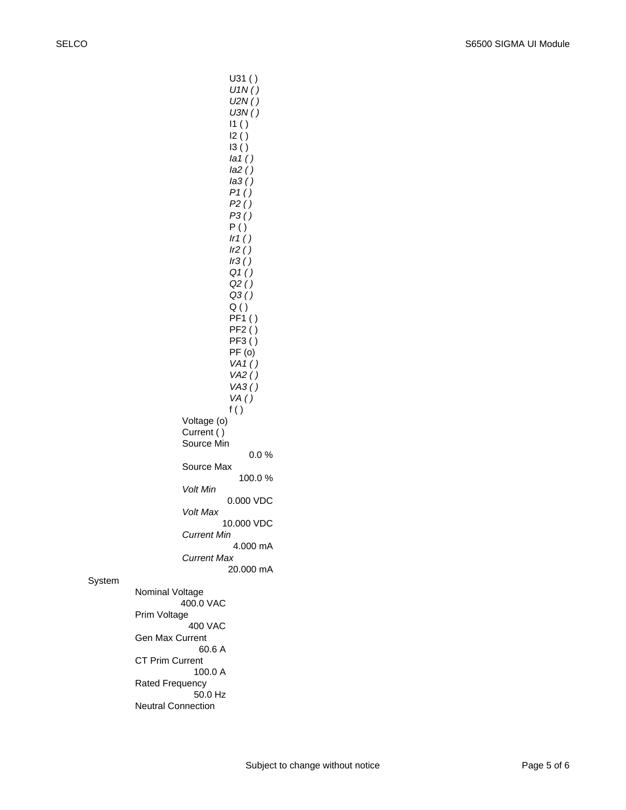*U1N ( ) U2N ( ) U3N ( )*  I1 ( ) I2 ( ) I3 ( ) *Ia1 ( ) Ia2 ( ) Ia3 ( ) P1 ( ) P2 ( ) P3 ( )* P ( ) *Ir1 ( ) Ir2 ( ) Ir3 ( ) Q1 ( ) Q2 ( ) Q3 ( )* Q ( ) PF1 ( ) PF2 ( ) PF3 ( ) PF (o) *VA1 ( ) VA2 ( ) VA3 ( ) VA ( )* f ( ) Voltage (o) Current ( ) Source Min 0.0 % Source Max 100.0 % *Volt Min* 0.000 VDC *Volt Max* 10.000 VDC *Current Min* 4.000 mA *Current Max* 20.000 mA Nominal Voltage 400.0 VAC Prim Voltage 400 VAC Gen Max Current 60.6 A CT Prim Current 100.0 A Rated Frequency 50.0 Hz

U31 ( )

Neutral Connection

System